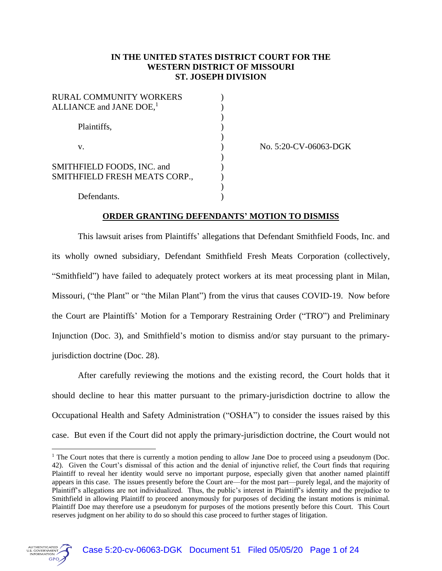### **IN THE UNITED STATES DISTRICT COURT FOR THE WESTERN DISTRICT OF MISSOURI ST. JOSEPH DIVISION**

| RURAL COMMUNITY WORKERS<br>ALLIANCE and JANE DOE, <sup>1</sup> |  |
|----------------------------------------------------------------|--|
| Plaintiffs,                                                    |  |
| V.                                                             |  |
| SMITHFIELD FOODS, INC. and<br>SMITHFIELD FRESH MEATS CORP.,    |  |
| Defendants.                                                    |  |

No. 5:20-CV-06063-DGK

### **ORDER GRANTING DEFENDANTS' MOTION TO DISMISS**

This lawsuit arises from Plaintiffs' allegations that Defendant Smithfield Foods, Inc. and its wholly owned subsidiary, Defendant Smithfield Fresh Meats Corporation (collectively, "Smithfield") have failed to adequately protect workers at its meat processing plant in Milan, Missouri, ("the Plant" or "the Milan Plant") from the virus that causes COVID-19. Now before the Court are Plaintiffs' Motion for a Temporary Restraining Order ("TRO") and Preliminary Injunction (Doc. 3), and Smithfield's motion to dismiss and/or stay pursuant to the primaryjurisdiction doctrine (Doc. 28).

After carefully reviewing the motions and the existing record, the Court holds that it should decline to hear this matter pursuant to the primary-jurisdiction doctrine to allow the Occupational Health and Safety Administration ("OSHA") to consider the issues raised by this case. But even if the Court did not apply the primary-jurisdiction doctrine, the Court would not

<sup>&</sup>lt;sup>1</sup> The Court notes that there is currently a motion pending to allow Jane Doe to proceed using a pseudonym (Doc. 42). Given the Court's dismissal of this action and the denial of injunctive relief, the Court finds that requiring Plaintiff to reveal her identity would serve no important purpose, especially given that another named plaintiff appears in this case. The issues presently before the Court are—for the most part—purely legal, and the majority of Plaintiff's allegations are not individualized. Thus, the public's interest in Plaintiff's identity and the prejudice to Smithfield in allowing Plaintiff to proceed anonymously for purposes of deciding the instant motions is minimal. Plaintiff Doe may therefore use a pseudonym for purposes of the motions presently before this Court. This Court reserves judgment on her ability to do so should this case proceed to further stages of litigation.

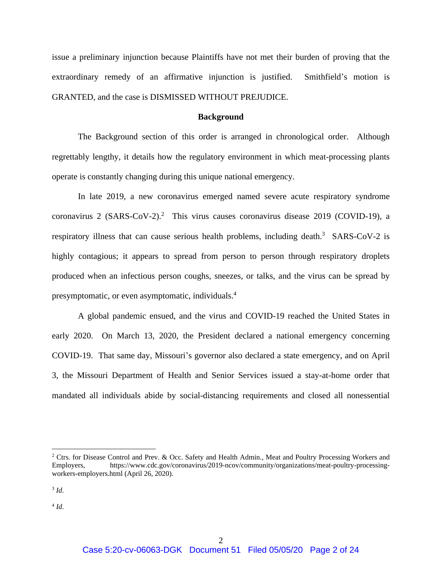issue a preliminary injunction because Plaintiffs have not met their burden of proving that the extraordinary remedy of an affirmative injunction is justified. Smithfield's motion is GRANTED, and the case is DISMISSED WITHOUT PREJUDICE.

### **Background**

The Background section of this order is arranged in chronological order. Although regrettably lengthy, it details how the regulatory environment in which meat-processing plants operate is constantly changing during this unique national emergency.

In late 2019, a new coronavirus emerged named severe acute respiratory syndrome coronavirus 2 (SARS-CoV-2). 2 This virus causes coronavirus disease 2019 (COVID-19), a respiratory illness that can cause serious health problems, including death.<sup>3</sup> SARS-CoV-2 is highly contagious; it appears to spread from person to person through respiratory droplets produced when an infectious person coughs, sneezes, or talks, and the virus can be spread by presymptomatic, or even asymptomatic, individuals. 4

A global pandemic ensued, and the virus and COVID-19 reached the United States in early 2020. On March 13, 2020, the President declared a national emergency concerning COVID-19. That same day, Missouri's governor also declared a state emergency, and on April 3, the Missouri Department of Health and Senior Services issued a stay-at-home order that mandated all individuals abide by social-distancing requirements and closed all nonessential

<sup>&</sup>lt;sup>2</sup> Ctrs. for Disease Control and Prev. & Occ. Safety and Health Admin., Meat and Poultry Processing Workers and Employers, https://www.cdc.gov/coronavirus/2019-ncov/community/organizations/meat-poultry-processingworkers-employers.html (April 26, 2020).

<sup>3</sup> *Id*.

<sup>4</sup> *Id*.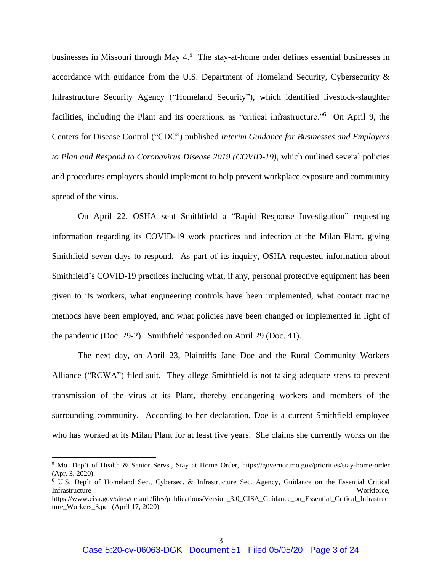businesses in Missouri through May 4. 5 The stay-at-home order defines essential businesses in accordance with guidance from the U.S. Department of Homeland Security, Cybersecurity & Infrastructure Security Agency ("Homeland Security"), which identified livestock-slaughter facilities, including the Plant and its operations, as "critical infrastructure."<sup>6</sup> On April 9, the Centers for Disease Control ("CDC") published *Interim Guidance for Businesses and Employers to Plan and Respond to Coronavirus Disease 2019 (COVID-19)*, which outlined several policies and procedures employers should implement to help prevent workplace exposure and community spread of the virus.

On April 22, OSHA sent Smithfield a "Rapid Response Investigation" requesting information regarding its COVID-19 work practices and infection at the Milan Plant, giving Smithfield seven days to respond. As part of its inquiry, OSHA requested information about Smithfield's COVID-19 practices including what, if any, personal protective equipment has been given to its workers, what engineering controls have been implemented, what contact tracing methods have been employed, and what policies have been changed or implemented in light of the pandemic (Doc. 29-2). Smithfield responded on April 29 (Doc. 41).

The next day, on April 23, Plaintiffs Jane Doe and the Rural Community Workers Alliance ("RCWA") filed suit. They allege Smithfield is not taking adequate steps to prevent transmission of the virus at its Plant, thereby endangering workers and members of the surrounding community. According to her declaration, Doe is a current Smithfield employee who has worked at its Milan Plant for at least five years. She claims she currently works on the

<sup>5</sup> Mo. Dep't of Health & Senior Servs., Stay at Home Order, https://governor.mo.gov/priorities/stay-home-order (Apr. 3, 2020).

<sup>&</sup>lt;sup>6</sup> U.S. Dep't of Homeland Sec., Cybersec. & Infrastructure Sec. Agency, Guidance on the Essential Critical Infrastructure Workforce,

https://www.cisa.gov/sites/default/files/publications/Version\_3.0\_CISA\_Guidance\_on\_Essential\_Critical\_Infrastruc ture\_Workers\_3.pdf (April 17, 2020).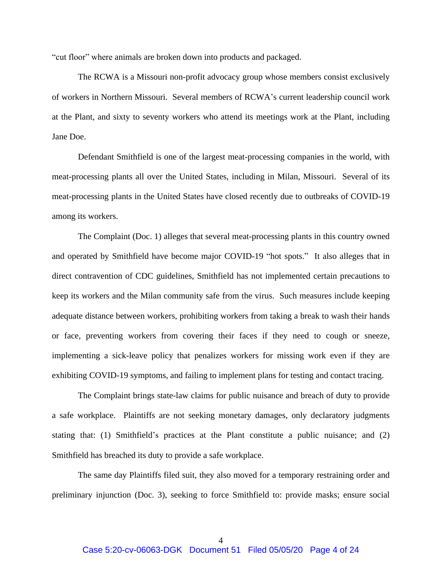"cut floor" where animals are broken down into products and packaged.

The RCWA is a Missouri non-profit advocacy group whose members consist exclusively of workers in Northern Missouri. Several members of RCWA's current leadership council work at the Plant, and sixty to seventy workers who attend its meetings work at the Plant, including Jane Doe.

Defendant Smithfield is one of the largest meat-processing companies in the world, with meat-processing plants all over the United States, including in Milan, Missouri. Several of its meat-processing plants in the United States have closed recently due to outbreaks of COVID-19 among its workers.

The Complaint (Doc. 1) alleges that several meat-processing plants in this country owned and operated by Smithfield have become major COVID-19 "hot spots." It also alleges that in direct contravention of CDC guidelines, Smithfield has not implemented certain precautions to keep its workers and the Milan community safe from the virus. Such measures include keeping adequate distance between workers, prohibiting workers from taking a break to wash their hands or face, preventing workers from covering their faces if they need to cough or sneeze, implementing a sick-leave policy that penalizes workers for missing work even if they are exhibiting COVID-19 symptoms, and failing to implement plans for testing and contact tracing.

The Complaint brings state-law claims for public nuisance and breach of duty to provide a safe workplace. Plaintiffs are not seeking monetary damages, only declaratory judgments stating that: (1) Smithfield's practices at the Plant constitute a public nuisance; and (2) Smithfield has breached its duty to provide a safe workplace.

The same day Plaintiffs filed suit, they also moved for a temporary restraining order and preliminary injunction (Doc. 3), seeking to force Smithfield to: provide masks; ensure social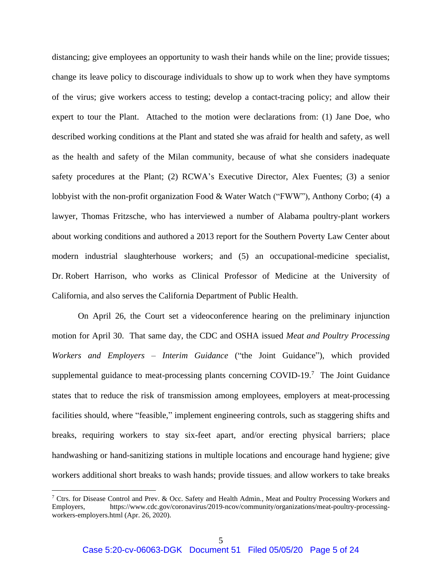distancing; give employees an opportunity to wash their hands while on the line; provide tissues; change its leave policy to discourage individuals to show up to work when they have symptoms of the virus; give workers access to testing; develop a contact-tracing policy; and allow their expert to tour the Plant. Attached to the motion were declarations from: (1) Jane Doe, who described working conditions at the Plant and stated she was afraid for health and safety, as well as the health and safety of the Milan community, because of what she considers inadequate safety procedures at the Plant; (2) RCWA's Executive Director, Alex Fuentes; (3) a senior lobbyist with the non-profit organization Food & Water Watch ("FWW"), Anthony Corbo; (4) a lawyer, Thomas Fritzsche, who has interviewed a number of Alabama poultry-plant workers about working conditions and authored a 2013 report for the Southern Poverty Law Center about modern industrial slaughterhouse workers; and (5) an occupational-medicine specialist, Dr. Robert Harrison, who works as Clinical Professor of Medicine at the University of California, and also serves the California Department of Public Health.

On April 26, the Court set a videoconference hearing on the preliminary injunction motion for April 30. That same day, the CDC and OSHA issued *Meat and Poultry Processing Workers and Employers – Interim Guidance* ("the Joint Guidance"), which provided supplemental guidance to meat-processing plants concerning COVID-19.<sup>7</sup> The Joint Guidance states that to reduce the risk of transmission among employees, employers at meat-processing facilities should, where "feasible," implement engineering controls, such as staggering shifts and breaks, requiring workers to stay six-feet apart, and/or erecting physical barriers; place handwashing or hand-sanitizing stations in multiple locations and encourage hand hygiene; give workers additional short breaks to wash hands; provide tissues; and allow workers to take breaks

<sup>&</sup>lt;sup>7</sup> Ctrs. for Disease Control and Prev. & Occ. Safety and Health Admin., Meat and Poultry Processing Workers and Employers, https://www.cdc.gov/coronavirus/2019-ncov/community/organizations/meat-poultry-processingworkers-employers.html (Apr. 26, 2020).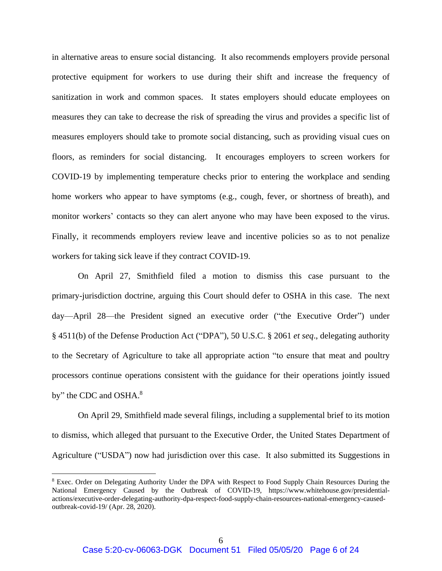in alternative areas to ensure social distancing. It also recommends employers provide personal protective equipment for workers to use during their shift and increase the frequency of sanitization in work and common spaces. It states employers should educate employees on measures they can take to decrease the risk of spreading the virus and provides a specific list of measures employers should take to promote social distancing, such as providing visual cues on floors, as reminders for social distancing. It encourages employers to screen workers for COVID-19 by implementing temperature checks prior to entering the workplace and sending home workers who appear to have symptoms (e.g., cough, fever, or shortness of breath), and monitor workers' contacts so they can alert anyone who may have been exposed to the virus. Finally, it recommends employers review leave and incentive policies so as to not penalize workers for taking sick leave if they contract COVID-19.

On April 27, Smithfield filed a motion to dismiss this case pursuant to the primary-jurisdiction doctrine, arguing this Court should defer to OSHA in this case. The next day—April 28—the President signed an executive order ("the Executive Order") under § 4511(b) of the Defense Production Act ("DPA"), 50 U.S.C. § 2061 *et seq*., delegating authority to the Secretary of Agriculture to take all appropriate action "to ensure that meat and poultry processors continue operations consistent with the guidance for their operations jointly issued by" the CDC and OSHA.<sup>8</sup>

On April 29, Smithfield made several filings, including a supplemental brief to its motion to dismiss, which alleged that pursuant to the Executive Order, the United States Department of Agriculture ("USDA") now had jurisdiction over this case. It also submitted its Suggestions in

<sup>&</sup>lt;sup>8</sup> Exec. Order on Delegating Authority Under the DPA with Respect to Food Supply Chain Resources During the National Emergency Caused by the Outbreak of COVID-19, https://www.whitehouse.gov/presidentialactions/executive-order-delegating-authority-dpa-respect-food-supply-chain-resources-national-emergency-causedoutbreak-covid-19/ (Apr. 28, 2020).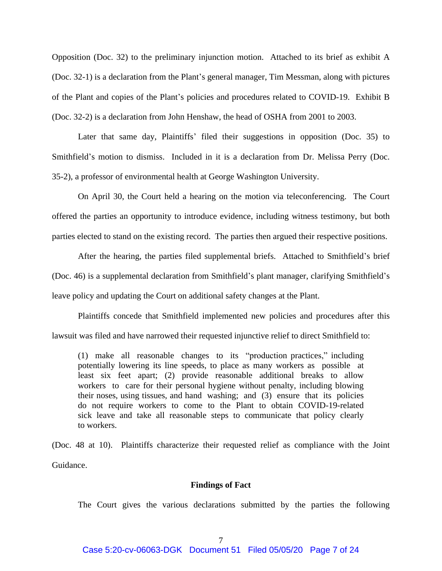Opposition (Doc. 32) to the preliminary injunction motion. Attached to its brief as exhibit A (Doc. 32-1) is a declaration from the Plant's general manager, Tim Messman, along with pictures of the Plant and copies of the Plant's policies and procedures related to COVID-19. Exhibit B (Doc. 32-2) is a declaration from John Henshaw, the head of OSHA from 2001 to 2003.

Later that same day, Plaintiffs' filed their suggestions in opposition (Doc. 35) to Smithfield's motion to dismiss. Included in it is a declaration from Dr. Melissa Perry (Doc. 35-2), a professor of environmental health at George Washington University.

On April 30, the Court held a hearing on the motion via teleconferencing. The Court offered the parties an opportunity to introduce evidence, including witness testimony, but both parties elected to stand on the existing record. The parties then argued their respective positions.

After the hearing, the parties filed supplemental briefs. Attached to Smithfield's brief (Doc. 46) is a supplemental declaration from Smithfield's plant manager, clarifying Smithfield's leave policy and updating the Court on additional safety changes at the Plant.

Plaintiffs concede that Smithfield implemented new policies and procedures after this lawsuit was filed and have narrowed their requested injunctive relief to direct Smithfield to:

(1) make all reasonable changes to its "production practices," including potentially lowering its line speeds, to place as many workers as possible at least six feet apart; (2) provide reasonable additional breaks to allow workers to care for their personal hygiene without penalty, including blowing their noses, using tissues, and hand washing; and (3) ensure that its policies do not require workers to come to the Plant to obtain COVID-19-related sick leave and take all reasonable steps to communicate that policy clearly to workers.

(Doc. 48 at 10). Plaintiffs characterize their requested relief as compliance with the Joint Guidance.

### **Findings of Fact**

The Court gives the various declarations submitted by the parties the following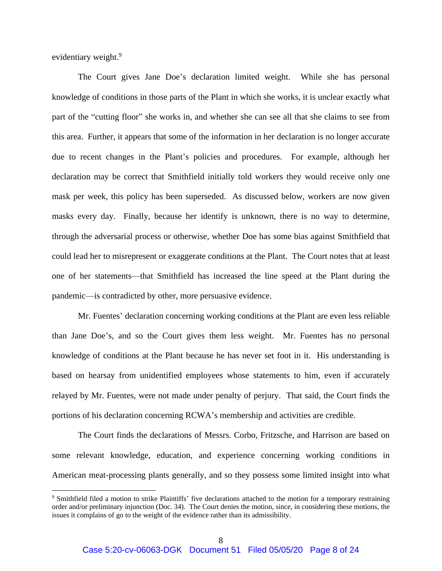evidentiary weight.<sup>9</sup>

The Court gives Jane Doe's declaration limited weight. While she has personal knowledge of conditions in those parts of the Plant in which she works, it is unclear exactly what part of the "cutting floor" she works in, and whether she can see all that she claims to see from this area. Further, it appears that some of the information in her declaration is no longer accurate due to recent changes in the Plant's policies and procedures. For example, although her declaration may be correct that Smithfield initially told workers they would receive only one mask per week, this policy has been superseded. As discussed below, workers are now given masks every day. Finally, because her identify is unknown, there is no way to determine, through the adversarial process or otherwise, whether Doe has some bias against Smithfield that could lead her to misrepresent or exaggerate conditions at the Plant. The Court notes that at least one of her statements—that Smithfield has increased the line speed at the Plant during the pandemic—is contradicted by other, more persuasive evidence.

Mr. Fuentes' declaration concerning working conditions at the Plant are even less reliable than Jane Doe's, and so the Court gives them less weight. Mr. Fuentes has no personal knowledge of conditions at the Plant because he has never set foot in it. His understanding is based on hearsay from unidentified employees whose statements to him, even if accurately relayed by Mr. Fuentes, were not made under penalty of perjury. That said, the Court finds the portions of his declaration concerning RCWA's membership and activities are credible.

The Court finds the declarations of Messrs. Corbo, Fritzsche, and Harrison are based on some relevant knowledge, education, and experience concerning working conditions in American meat-processing plants generally, and so they possess some limited insight into what

<sup>&</sup>lt;sup>9</sup> Smithfield filed a motion to strike Plaintiffs' five declarations attached to the motion for a temporary restraining order and/or preliminary injunction (Doc. 34). The Court denies the motion, since, in considering these motions, the issues it complains of go to the weight of the evidence rather than its admissibility.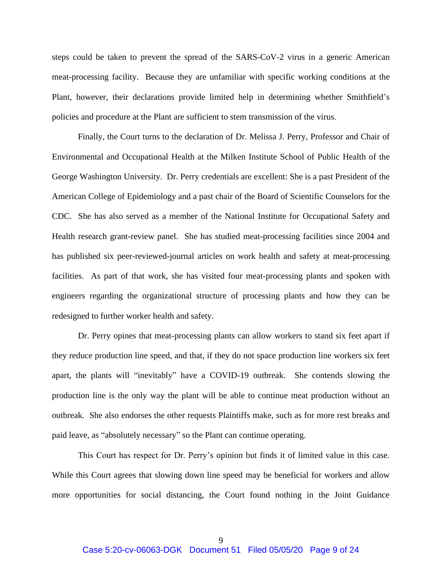steps could be taken to prevent the spread of the SARS-CoV-2 virus in a generic American meat-processing facility. Because they are unfamiliar with specific working conditions at the Plant, however, their declarations provide limited help in determining whether Smithfield's policies and procedure at the Plant are sufficient to stem transmission of the virus.

Finally, the Court turns to the declaration of Dr. Melissa J. Perry, Professor and Chair of Environmental and Occupational Health at the Milken Institute School of Public Health of the George Washington University. Dr. Perry credentials are excellent: She is a past President of the American College of Epidemiology and a past chair of the Board of Scientific Counselors for the CDC. She has also served as a member of the National Institute for Occupational Safety and Health research grant-review panel. She has studied meat-processing facilities since 2004 and has published six peer-reviewed-journal articles on work health and safety at meat-processing facilities. As part of that work, she has visited four meat-processing plants and spoken with engineers regarding the organizational structure of processing plants and how they can be redesigned to further worker health and safety.

Dr. Perry opines that meat-processing plants can allow workers to stand six feet apart if they reduce production line speed, and that, if they do not space production line workers six feet apart, the plants will "inevitably" have a COVID-19 outbreak. She contends slowing the production line is the only way the plant will be able to continue meat production without an outbreak. She also endorses the other requests Plaintiffs make, such as for more rest breaks and paid leave, as "absolutely necessary" so the Plant can continue operating.

This Court has respect for Dr. Perry's opinion but finds it of limited value in this case. While this Court agrees that slowing down line speed may be beneficial for workers and allow more opportunities for social distancing, the Court found nothing in the Joint Guidance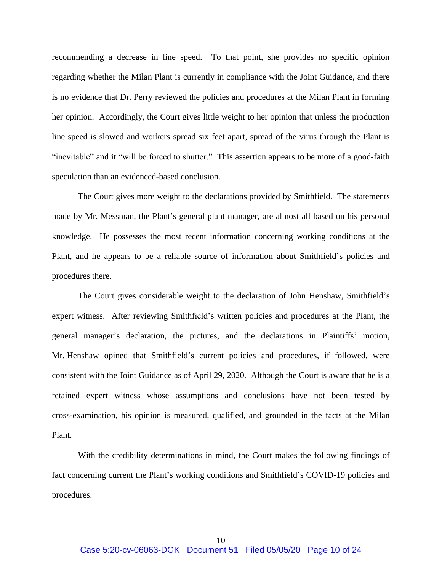recommending a decrease in line speed. To that point, she provides no specific opinion regarding whether the Milan Plant is currently in compliance with the Joint Guidance, and there is no evidence that Dr. Perry reviewed the policies and procedures at the Milan Plant in forming her opinion. Accordingly, the Court gives little weight to her opinion that unless the production line speed is slowed and workers spread six feet apart, spread of the virus through the Plant is "inevitable" and it "will be forced to shutter." This assertion appears to be more of a good-faith speculation than an evidenced-based conclusion.

The Court gives more weight to the declarations provided by Smithfield. The statements made by Mr. Messman, the Plant's general plant manager, are almost all based on his personal knowledge. He possesses the most recent information concerning working conditions at the Plant, and he appears to be a reliable source of information about Smithfield's policies and procedures there.

The Court gives considerable weight to the declaration of John Henshaw, Smithfield's expert witness. After reviewing Smithfield's written policies and procedures at the Plant, the general manager's declaration, the pictures, and the declarations in Plaintiffs' motion, Mr. Henshaw opined that Smithfield's current policies and procedures, if followed, were consistent with the Joint Guidance as of April 29, 2020. Although the Court is aware that he is a retained expert witness whose assumptions and conclusions have not been tested by cross-examination, his opinion is measured, qualified, and grounded in the facts at the Milan Plant.

With the credibility determinations in mind, the Court makes the following findings of fact concerning current the Plant's working conditions and Smithfield's COVID-19 policies and procedures.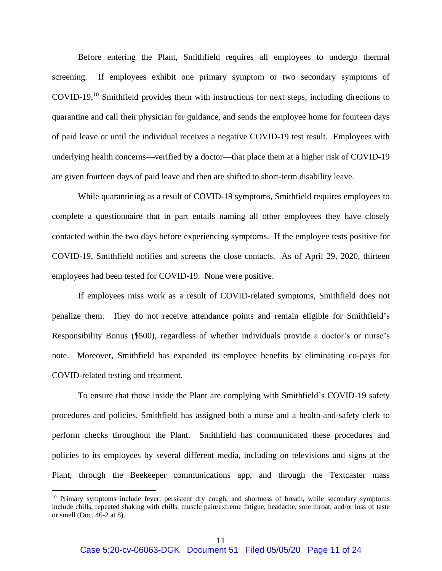Before entering the Plant, Smithfield requires all employees to undergo thermal screening. If employees exhibit one primary symptom or two secondary symptoms of COVID-19, <sup>10</sup> Smithfield provides them with instructions for next steps, including directions to quarantine and call their physician for guidance, and sends the employee home for fourteen days of paid leave or until the individual receives a negative COVID-19 test result. Employees with underlying health concerns—verified by a doctor—that place them at a higher risk of COVID-19 are given fourteen days of paid leave and then are shifted to short-term disability leave.

While quarantining as a result of COVID-19 symptoms, Smithfield requires employees to complete a questionnaire that in part entails naming all other employees they have closely contacted within the two days before experiencing symptoms. If the employee tests positive for COVID-19, Smithfield notifies and screens the close contacts. As of April 29, 2020, thirteen employees had been tested for COVID-19. None were positive.

If employees miss work as a result of COVID-related symptoms, Smithfield does not penalize them. They do not receive attendance points and remain eligible for Smithfield's Responsibility Bonus (\$500), regardless of whether individuals provide a doctor's or nurse's note. Moreover, Smithfield has expanded its employee benefits by eliminating co-pays for COVID-related testing and treatment.

To ensure that those inside the Plant are complying with Smithfield's COVID-19 safety procedures and policies, Smithfield has assigned both a nurse and a health-and-safety clerk to perform checks throughout the Plant. Smithfield has communicated these procedures and policies to its employees by several different media, including on televisions and signs at the Plant, through the Beekeeper communications app, and through the Textcaster mass

<sup>&</sup>lt;sup>10</sup> Primary symptoms include fever, persistent dry cough, and shortness of breath, while secondary symptoms include chills, repeated shaking with chills, muscle pain/extreme fatigue, headache, sore throat, and/or loss of taste or smell (Doc. 46-2 at 8).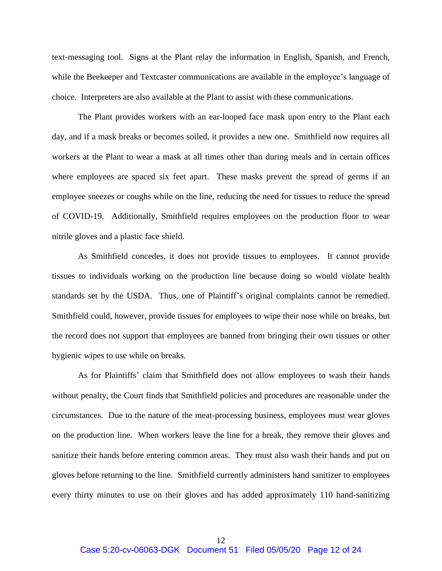text-messaging tool. Signs at the Plant relay the information in English, Spanish, and French, while the Beekeeper and Textcaster communications are available in the employee's language of choice. Interpreters are also available at the Plant to assist with these communications.

The Plant provides workers with an ear-looped face mask upon entry to the Plant each day, and if a mask breaks or becomes soiled, it provides a new one. Smithfield now requires all workers at the Plant to wear a mask at all times other than during meals and in certain offices where employees are spaced six feet apart. These masks prevent the spread of germs if an employee sneezes or coughs while on the line, reducing the need for tissues to reduce the spread of COVID-19. Additionally, Smithfield requires employees on the production floor to wear nitrile gloves and a plastic face shield.

As Smithfield concedes, it does not provide tissues to employees. It cannot provide tissues to individuals working on the production line because doing so would violate health standards set by the USDA. Thus, one of Plaintiff's original complaints cannot be remedied. Smithfield could, however, provide tissues for employees to wipe their nose while on breaks, but the record does not support that employees are banned from bringing their own tissues or other hygienic wipes to use while on breaks.

As for Plaintiffs' claim that Smithfield does not allow employees to wash their hands without penalty, the Court finds that Smithfield policies and procedures are reasonable under the circumstances. Due to the nature of the meat-processing business, employees must wear gloves on the production line. When workers leave the line for a break, they remove their gloves and sanitize their hands before entering common areas. They must also wash their hands and put on gloves before returning to the line. Smithfield currently administers hand sanitizer to employees every thirty minutes to use on their gloves and has added approximately 110 hand-sanitizing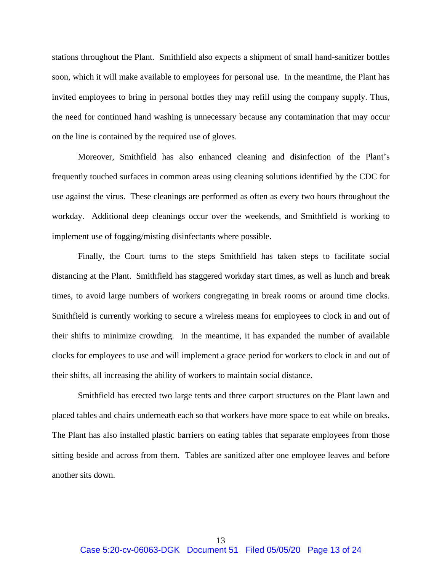stations throughout the Plant. Smithfield also expects a shipment of small hand-sanitizer bottles soon, which it will make available to employees for personal use. In the meantime, the Plant has invited employees to bring in personal bottles they may refill using the company supply. Thus, the need for continued hand washing is unnecessary because any contamination that may occur on the line is contained by the required use of gloves.

Moreover, Smithfield has also enhanced cleaning and disinfection of the Plant's frequently touched surfaces in common areas using cleaning solutions identified by the CDC for use against the virus. These cleanings are performed as often as every two hours throughout the workday. Additional deep cleanings occur over the weekends, and Smithfield is working to implement use of fogging/misting disinfectants where possible.

Finally, the Court turns to the steps Smithfield has taken steps to facilitate social distancing at the Plant. Smithfield has staggered workday start times, as well as lunch and break times, to avoid large numbers of workers congregating in break rooms or around time clocks. Smithfield is currently working to secure a wireless means for employees to clock in and out of their shifts to minimize crowding. In the meantime, it has expanded the number of available clocks for employees to use and will implement a grace period for workers to clock in and out of their shifts, all increasing the ability of workers to maintain social distance.

Smithfield has erected two large tents and three carport structures on the Plant lawn and placed tables and chairs underneath each so that workers have more space to eat while on breaks. The Plant has also installed plastic barriers on eating tables that separate employees from those sitting beside and across from them. Tables are sanitized after one employee leaves and before another sits down.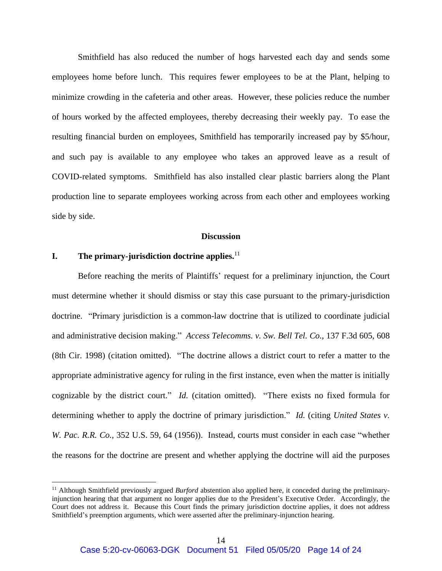Smithfield has also reduced the number of hogs harvested each day and sends some employees home before lunch. This requires fewer employees to be at the Plant, helping to minimize crowding in the cafeteria and other areas. However, these policies reduce the number of hours worked by the affected employees, thereby decreasing their weekly pay. To ease the resulting financial burden on employees, Smithfield has temporarily increased pay by \$5/hour, and such pay is available to any employee who takes an approved leave as a result of COVID-related symptoms. Smithfield has also installed clear plastic barriers along the Plant production line to separate employees working across from each other and employees working side by side.

#### **Discussion**

### **I. The primary-jurisdiction doctrine applies.** 11

Before reaching the merits of Plaintiffs' request for a preliminary injunction, the Court must determine whether it should dismiss or stay this case pursuant to the primary-jurisdiction doctrine. "Primary jurisdiction is a common-law doctrine that is utilized to coordinate judicial and administrative decision making." *Access Telecomms. v. Sw. Bell Tel. Co.,* 137 F.3d 605, 608 (8th Cir. 1998) (citation omitted). "The doctrine allows a district court to refer a matter to the appropriate administrative agency for ruling in the first instance, even when the matter is initially cognizable by the district court." *Id.* (citation omitted). "There exists no fixed formula for determining whether to apply the doctrine of primary jurisdiction." *Id.* (citing *United States v. W. Pac. R.R. Co.,* 352 U.S. 59, 64 (1956)). Instead, courts must consider in each case "whether the reasons for the doctrine are present and whether applying the doctrine will aid the purposes

<sup>&</sup>lt;sup>11</sup> Although Smithfield previously argued *Burford* abstention also applied here, it conceded during the preliminaryinjunction hearing that that argument no longer applies due to the President's Executive Order. Accordingly, the Court does not address it. Because this Court finds the primary jurisdiction doctrine applies, it does not address Smithfield's preemption arguments, which were asserted after the preliminary-injunction hearing.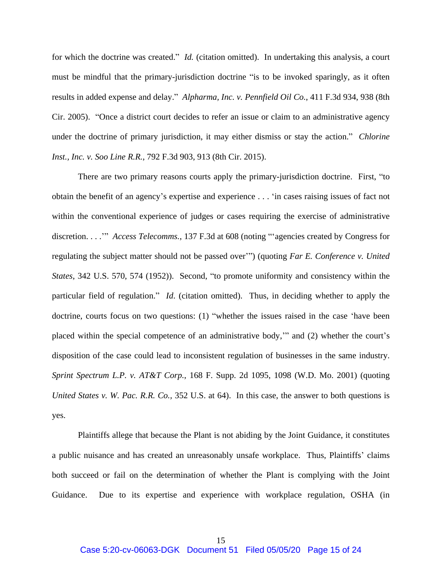for which the doctrine was created." *Id.* (citation omitted). In undertaking this analysis, a court must be mindful that the primary-jurisdiction doctrine "is to be invoked sparingly, as it often results in added expense and delay." *Alpharma, Inc. v. Pennfield Oil Co.*, 411 F.3d 934, 938 (8th Cir. 2005). "Once a district court decides to refer an issue or claim to an administrative agency under the doctrine of primary jurisdiction, it may either dismiss or stay the action." *Chlorine Inst., Inc. v. Soo Line R.R.*, 792 F.3d 903, 913 (8th Cir. 2015).

There are two primary reasons courts apply the primary-jurisdiction doctrine. First, "to obtain the benefit of an agency's expertise and experience . . . 'in cases raising issues of fact not within the conventional experience of judges or cases requiring the exercise of administrative discretion. . . .'" *Access Telecomms.*, 137 F.3d at 608 (noting "'agencies created by Congress for regulating the subject matter should not be passed over'") (quoting *Far E. Conference v. United States*, 342 U.S. 570, 574 (1952)). Second, "to promote uniformity and consistency within the particular field of regulation." *Id*. (citation omitted). Thus, in deciding whether to apply the doctrine, courts focus on two questions: (1) "whether the issues raised in the case 'have been placed within the special competence of an administrative body,'" and (2) whether the court's disposition of the case could lead to inconsistent regulation of businesses in the same industry. *Sprint Spectrum L.P. v. AT&T Corp.*, 168 F. Supp. 2d 1095, 1098 (W.D. Mo. 2001) (quoting *United States v. W. Pac. R.R. Co.,* 352 U.S. at 64). In this case, the answer to both questions is yes.

Plaintiffs allege that because the Plant is not abiding by the Joint Guidance, it constitutes a public nuisance and has created an unreasonably unsafe workplace. Thus, Plaintiffs' claims both succeed or fail on the determination of whether the Plant is complying with the Joint Guidance. Due to its expertise and experience with workplace regulation, OSHA (in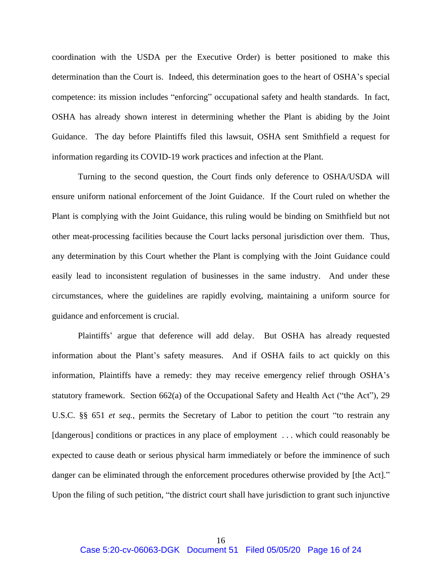coordination with the USDA per the Executive Order) is better positioned to make this determination than the Court is. Indeed, this determination goes to the heart of OSHA's special competence: its mission includes "enforcing" occupational safety and health standards. In fact, OSHA has already shown interest in determining whether the Plant is abiding by the Joint Guidance. The day before Plaintiffs filed this lawsuit, OSHA sent Smithfield a request for information regarding its COVID-19 work practices and infection at the Plant.

Turning to the second question, the Court finds only deference to OSHA/USDA will ensure uniform national enforcement of the Joint Guidance. If the Court ruled on whether the Plant is complying with the Joint Guidance, this ruling would be binding on Smithfield but not other meat-processing facilities because the Court lacks personal jurisdiction over them. Thus, any determination by this Court whether the Plant is complying with the Joint Guidance could easily lead to inconsistent regulation of businesses in the same industry. And under these circumstances, where the guidelines are rapidly evolving, maintaining a uniform source for guidance and enforcement is crucial.

Plaintiffs' argue that deference will add delay. But OSHA has already requested information about the Plant's safety measures. And if OSHA fails to act quickly on this information, Plaintiffs have a remedy: they may receive emergency relief through OSHA's statutory framework. Section 662(a) of the Occupational Safety and Health Act ("the Act"), 29 U.S.C. §§ 651 *et seq.*, permits the Secretary of Labor to petition the court "to restrain any [dangerous] conditions or practices in any place of employment ... which could reasonably be expected to cause death or serious physical harm immediately or before the imminence of such danger can be eliminated through the enforcement procedures otherwise provided by [the Act]." Upon the filing of such petition, "the district court shall have jurisdiction to grant such injunctive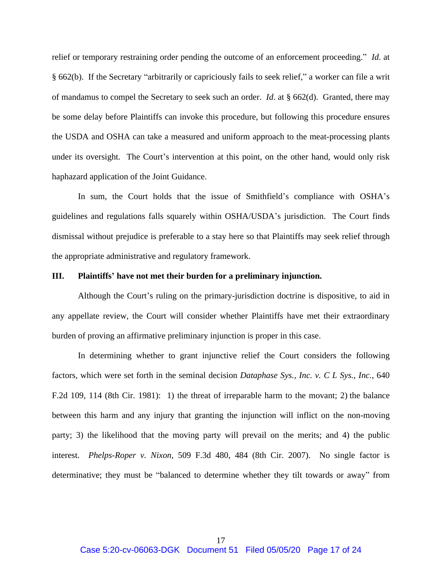relief or temporary restraining order pending the outcome of an enforcement proceeding." *Id*. at § 662(b). If the Secretary "arbitrarily or capriciously fails to seek relief," a worker can file a writ of mandamus to compel the Secretary to seek such an order. *Id*. at § 662(d). Granted, there may be some delay before Plaintiffs can invoke this procedure, but following this procedure ensures the USDA and OSHA can take a measured and uniform approach to the meat-processing plants under its oversight. The Court's intervention at this point, on the other hand, would only risk haphazard application of the Joint Guidance.

In sum, the Court holds that the issue of Smithfield's compliance with OSHA's guidelines and regulations falls squarely within OSHA/USDA's jurisdiction. The Court finds dismissal without prejudice is preferable to a stay here so that Plaintiffs may seek relief through the appropriate administrative and regulatory framework.

### **III. Plaintiffs' have not met their burden for a preliminary injunction.**

Although the Court's ruling on the primary-jurisdiction doctrine is dispositive, to aid in any appellate review, the Court will consider whether Plaintiffs have met their extraordinary burden of proving an affirmative preliminary injunction is proper in this case.

In determining whether to grant injunctive relief the Court considers the following factors, which were set forth in the seminal decision *Dataphase Sys., Inc. v. C L Sys., Inc.*, 640 F.2d 109, 114 (8th Cir. 1981): 1) the threat of irreparable harm to the movant; 2) the balance between this harm and any injury that granting the injunction will inflict on the non-moving party; 3) the likelihood that the moving party will prevail on the merits; and 4) the public interest. *Phelps-Roper v. Nixon*, 509 F.3d 480, 484 (8th Cir. 2007). No single factor is determinative; they must be "balanced to determine whether they tilt towards or away" from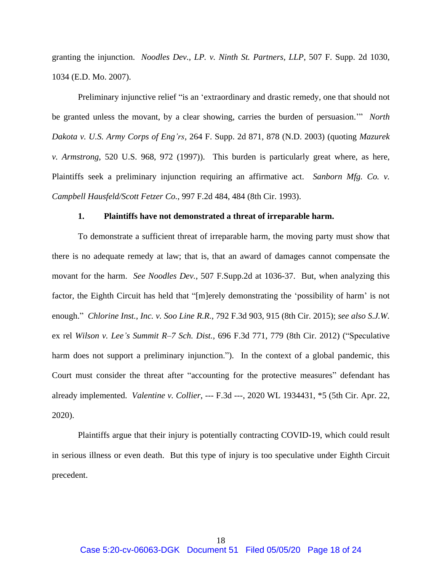granting the injunction. *Noodles Dev., LP. v. Ninth St. Partners, LLP*, 507 F. Supp. 2d 1030, 1034 (E.D. Mo. 2007).

Preliminary injunctive relief "is an 'extraordinary and drastic remedy, one that should not be granted unless the movant, by a clear showing, carries the burden of persuasion.'" *North Dakota v. U.S. Army Corps of Eng'rs*, 264 F. Supp. 2d 871, 878 (N.D. 2003) (quoting *Mazurek v. Armstrong*, 520 U.S. 968, 972 (1997)). This burden is particularly great where, as here, Plaintiffs seek a preliminary injunction requiring an affirmative act. *Sanborn Mfg. Co. v. Campbell Hausfeld/Scott Fetzer Co.*, 997 F.2d 484, 484 (8th Cir. 1993).

### **1. Plaintiffs have not demonstrated a threat of irreparable harm.**

To demonstrate a sufficient threat of irreparable harm, the moving party must show that there is no adequate remedy at law; that is, that an award of damages cannot compensate the movant for the harm. *See Noodles Dev.*, 507 F.Supp.2d at 1036-37. But, when analyzing this factor, the Eighth Circuit has held that "[m]erely demonstrating the 'possibility of harm' is not enough." *Chlorine Inst., Inc. v. Soo Line R.R.*, 792 F.3d 903, 915 (8th Cir. 2015); *see also S.J.W.*  ex rel *Wilson v. Lee's Summit R–7 Sch. Dist.,* 696 F.3d 771, 779 (8th Cir. 2012) ("Speculative harm does not support a preliminary injunction."). In the context of a global pandemic, this Court must consider the threat after "accounting for the protective measures" defendant has already implemented. *Valentine v. Collier*, --- F.3d ---, 2020 WL 1934431, \*5 (5th Cir. Apr. 22, 2020).

Plaintiffs argue that their injury is potentially contracting COVID-19, which could result in serious illness or even death. But this type of injury is too speculative under Eighth Circuit precedent.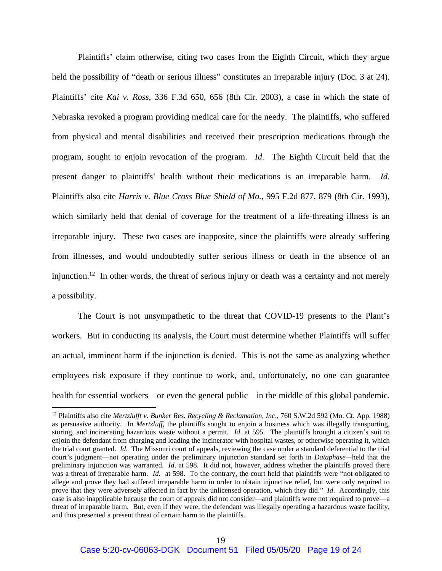Plaintiffs' claim otherwise, citing two cases from the Eighth Circuit, which they argue held the possibility of "death or serious illness" constitutes an irreparable injury (Doc. 3 at 24). Plaintiffs' cite *Kai v. Ross*, 336 F.3d 650, 656 (8th Cir. 2003), a case in which the state of Nebraska revoked a program providing medical care for the needy. The plaintiffs, who suffered from physical and mental disabilities and received their prescription medications through the program, sought to enjoin revocation of the program. *Id*. The Eighth Circuit held that the present danger to plaintiffs' health without their medications is an irreparable harm. *Id*. Plaintiffs also cite *Harris v. Blue Cross Blue Shield of Mo.*, 995 F.2d 877, 879 (8th Cir. 1993), which similarly held that denial of coverage for the treatment of a life-threating illness is an irreparable injury. These two cases are inapposite, since the plaintiffs were already suffering from illnesses, and would undoubtedly suffer serious illness or death in the absence of an injunction.<sup>12</sup> In other words, the threat of serious injury or death was a certainty and not merely a possibility.

The Court is not unsympathetic to the threat that COVID-19 presents to the Plant's workers. But in conducting its analysis, the Court must determine whether Plaintiffs will suffer an actual, imminent harm if the injunction is denied. This is not the same as analyzing whether employees risk exposure if they continue to work, and, unfortunately, no one can guarantee health for essential workers—or even the general public—in the middle of this global pandemic.

<sup>12</sup> Plaintiffs also cite *Mertzlufft v. Bunker Res. Recycling & Reclamation, Inc*., 760 S.W.2d 592 (Mo. Ct. App. 1988) as persuasive authority. In *Mertzluff*, the plaintiffs sought to enjoin a business which was illegally transporting, storing, and incinerating hazardous waste without a permit. *Id*. at 595. The plaintiffs brought a citizen's suit to enjoin the defendant from charging and loading the incinerator with hospital wastes, or otherwise operating it, which the trial court granted. *Id*. The Missouri court of appeals, reviewing the case under a standard deferential to the trial court's judgment—not operating under the preliminary injunction standard set forth in *Dataphase—*held that the preliminary injunction was warranted. *Id*. at 598. It did not, however, address whether the plaintiffs proved there was a threat of irreparable harm. *Id.* at 598. To the contrary, the court held that plaintiffs were "not obligated to allege and prove they had suffered irreparable harm in order to obtain injunctive relief, but were only required to prove that they were adversely affected in fact by the unlicensed operation, which they did." *Id*. Accordingly, this case is also inapplicable because the court of appeals did not consider—and plaintiffs were not required to prove—a threat of irreparable harm. But, even if they were, the defendant was illegally operating a hazardous waste facility, and thus presented a present threat of certain harm to the plaintiffs.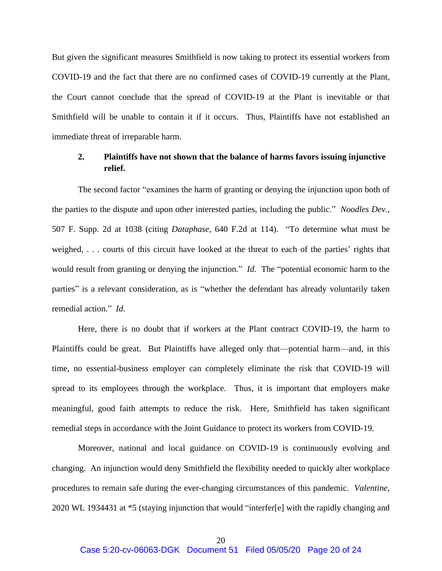But given the significant measures Smithfield is now taking to protect its essential workers from COVID-19 and the fact that there are no confirmed cases of COVID-19 currently at the Plant, the Court cannot conclude that the spread of COVID-19 at the Plant is inevitable or that Smithfield will be unable to contain it if it occurs. Thus, Plaintiffs have not established an immediate threat of irreparable harm.

## **2. Plaintiffs have not shown that the balance of harms favors issuing injunctive relief.**

The second factor "examines the harm of granting or denying the injunction upon both of the parties to the dispute and upon other interested parties, including the public." *Noodles Dev.*, 507 F. Supp. 2d at 1038 (citing *Dataphase*, 640 F.2d at 114). "To determine what must be weighed, . . . courts of this circuit have looked at the threat to each of the parties' rights that would result from granting or denying the injunction." *Id*. The "potential economic harm to the parties" is a relevant consideration, as is "whether the defendant has already voluntarily taken remedial action." *Id*.

Here, there is no doubt that if workers at the Plant contract COVID-19, the harm to Plaintiffs could be great. But Plaintiffs have alleged only that—potential harm—and, in this time, no essential-business employer can completely eliminate the risk that COVID-19 will spread to its employees through the workplace. Thus, it is important that employers make meaningful, good faith attempts to reduce the risk. Here, Smithfield has taken significant remedial steps in accordance with the Joint Guidance to protect its workers from COVID-19.

Moreover, national and local guidance on COVID-19 is continuously evolving and changing. An injunction would deny Smithfield the flexibility needed to quickly alter workplace procedures to remain safe during the ever-changing circumstances of this pandemic. *Valentine*, 2020 WL 1934431 at \*5 (staying injunction that would "interfer[e] with the rapidly changing and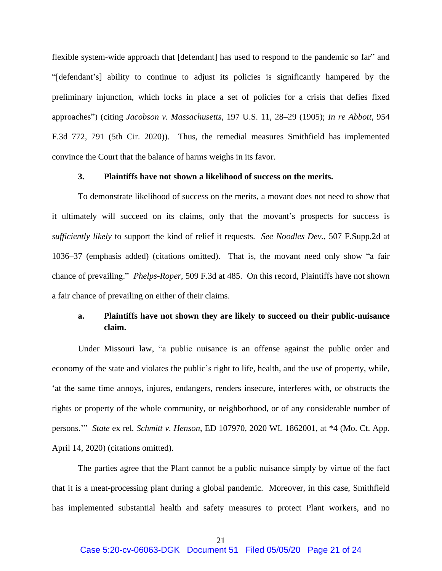flexible system-wide approach that [defendant] has used to respond to the pandemic so far" and "[defendant's] ability to continue to adjust its policies is significantly hampered by the preliminary injunction, which locks in place a set of policies for a crisis that defies fixed approaches") (citing *Jacobson v. Massachusetts*, 197 U.S. 11, 28–29 (1905); *In re Abbott*, 954 F.3d 772, 791 (5th Cir. 2020)). Thus, the remedial measures Smithfield has implemented convince the Court that the balance of harms weighs in its favor.

### **3. Plaintiffs have not shown a likelihood of success on the merits.**

To demonstrate likelihood of success on the merits, a movant does not need to show that it ultimately will succeed on its claims, only that the movant's prospects for success is *sufficiently likely* to support the kind of relief it requests. *See Noodles Dev.*, 507 F.Supp.2d at 1036–37 (emphasis added) (citations omitted). That is, the movant need only show "a fair chance of prevailing." *Phelps-Roper*, 509 F.3d at 485. On this record, Plaintiffs have not shown a fair chance of prevailing on either of their claims.

# **a. Plaintiffs have not shown they are likely to succeed on their public-nuisance claim.**

Under Missouri law, "a public nuisance is an offense against the public order and economy of the state and violates the public's right to life, health, and the use of property, while, 'at the same time annoys, injures, endangers, renders insecure, interferes with, or obstructs the rights or property of the whole community, or neighborhood, or of any considerable number of persons.'" *State* ex rel*. Schmitt v. Henson*, ED 107970, 2020 WL 1862001, at \*4 (Mo. Ct. App. April 14, 2020) (citations omitted).

The parties agree that the Plant cannot be a public nuisance simply by virtue of the fact that it is a meat-processing plant during a global pandemic. Moreover, in this case, Smithfield has implemented substantial health and safety measures to protect Plant workers, and no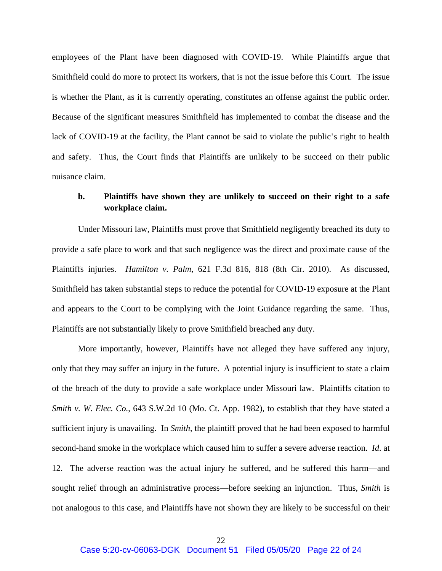employees of the Plant have been diagnosed with COVID-19. While Plaintiffs argue that Smithfield could do more to protect its workers, that is not the issue before this Court. The issue is whether the Plant, as it is currently operating, constitutes an offense against the public order. Because of the significant measures Smithfield has implemented to combat the disease and the lack of COVID-19 at the facility, the Plant cannot be said to violate the public's right to health and safety. Thus, the Court finds that Plaintiffs are unlikely to be succeed on their public nuisance claim.

## **b. Plaintiffs have shown they are unlikely to succeed on their right to a safe workplace claim.**

Under Missouri law, Plaintiffs must prove that Smithfield negligently breached its duty to provide a safe place to work and that such negligence was the direct and proximate cause of the Plaintiffs injuries. *Hamilton v. Palm*, 621 F.3d 816, 818 (8th Cir. 2010). As discussed, Smithfield has taken substantial steps to reduce the potential for COVID-19 exposure at the Plant and appears to the Court to be complying with the Joint Guidance regarding the same. Thus, Plaintiffs are not substantially likely to prove Smithfield breached any duty.

More importantly, however, Plaintiffs have not alleged they have suffered any injury, only that they may suffer an injury in the future. A potential injury is insufficient to state a claim of the breach of the duty to provide a safe workplace under Missouri law. Plaintiffs citation to *Smith v. W. Elec. Co.*, 643 S.W.2d 10 (Mo. Ct. App. 1982), to establish that they have stated a sufficient injury is unavailing. In *Smith*, the plaintiff proved that he had been exposed to harmful second-hand smoke in the workplace which caused him to suffer a severe adverse reaction. *Id*. at 12. The adverse reaction was the actual injury he suffered, and he suffered this harm—and sought relief through an administrative process—before seeking an injunction. Thus, *Smith* is not analogous to this case, and Plaintiffs have not shown they are likely to be successful on their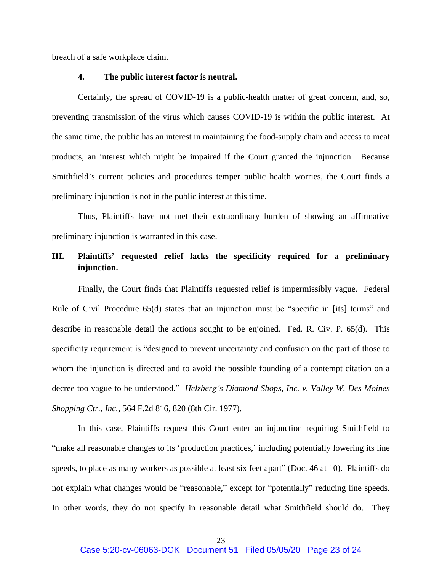breach of a safe workplace claim.

### **4. The public interest factor is neutral.**

Certainly, the spread of COVID-19 is a public-health matter of great concern, and, so, preventing transmission of the virus which causes COVID-19 is within the public interest. At the same time, the public has an interest in maintaining the food-supply chain and access to meat products, an interest which might be impaired if the Court granted the injunction. Because Smithfield's current policies and procedures temper public health worries, the Court finds a preliminary injunction is not in the public interest at this time.

Thus, Plaintiffs have not met their extraordinary burden of showing an affirmative preliminary injunction is warranted in this case.

# **III. Plaintiffs' requested relief lacks the specificity required for a preliminary injunction.**

Finally, the Court finds that Plaintiffs requested relief is impermissibly vague. Federal Rule of Civil Procedure 65(d) states that an injunction must be "specific in [its] terms" and describe in reasonable detail the actions sought to be enjoined. Fed. R. Civ. P. 65(d). This specificity requirement is "designed to prevent uncertainty and confusion on the part of those to whom the injunction is directed and to avoid the possible founding of a contempt citation on a decree too vague to be understood." *Helzberg's Diamond Shops, Inc. v. Valley W. Des Moines Shopping Ctr., Inc.*, 564 F.2d 816, 820 (8th Cir. 1977).

In this case, Plaintiffs request this Court enter an injunction requiring Smithfield to "make all reasonable changes to its 'production practices,' including potentially lowering its line speeds, to place as many workers as possible at least six feet apart" (Doc. 46 at 10). Plaintiffs do not explain what changes would be "reasonable," except for "potentially" reducing line speeds. In other words, they do not specify in reasonable detail what Smithfield should do. They